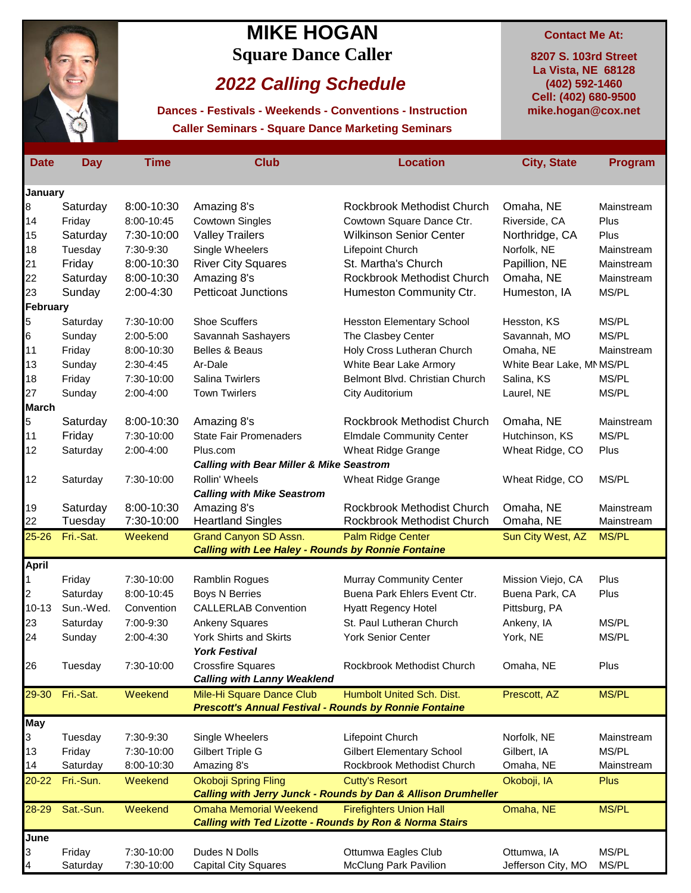

## **MIKE HOGAN Contact Me At: Square Dance Caller 8207 S. 103rd Street**

## *2022 Calling Schedule*

**Caller Seminars - Square Dance Marketing Seminars Dances - Festivals - Weekends - Conventions - Instruction**

**mike.hogan@cox.net La Vista, NE 68128 (402) 592-1460 Cell: (402) 680-9500**

| <b>Date</b>  | <b>Day</b> | Time       | <b>Club</b>                                                        | <b>Location</b>                                               | <b>City, State</b>      | Program      |
|--------------|------------|------------|--------------------------------------------------------------------|---------------------------------------------------------------|-------------------------|--------------|
| January      |            |            |                                                                    |                                                               |                         |              |
| 8            | Saturday   | 8:00-10:30 | Amazing 8's                                                        | Rockbrook Methodist Church                                    | Omaha, NE               | Mainstream   |
| 14           | Friday     | 8:00-10:45 | <b>Cowtown Singles</b>                                             | Cowtown Square Dance Ctr.                                     | Riverside, CA           | Plus         |
| 15           | Saturday   | 7:30-10:00 | <b>Valley Trailers</b>                                             | <b>Wilkinson Senior Center</b>                                | Northridge, CA          | Plus         |
|              |            |            |                                                                    |                                                               |                         |              |
| 18           | Tuesday    | 7:30-9:30  | Single Wheelers                                                    | Lifepoint Church                                              | Norfolk, NE             | Mainstream   |
| 21           | Friday     | 8:00-10:30 | <b>River City Squares</b>                                          | St. Martha's Church                                           | Papillion, NE           | Mainstream   |
| 22           | Saturday   | 8:00-10:30 | Amazing 8's                                                        | Rockbrook Methodist Church                                    | Omaha, NE               | Mainstream   |
| 23           | Sunday     | 2:00-4:30  | <b>Petticoat Junctions</b>                                         | Humeston Community Ctr.                                       | Humeston, IA            | MS/PL        |
| February     |            |            |                                                                    |                                                               |                         |              |
| 5            | Saturday   | 7:30-10:00 | <b>Shoe Scuffers</b>                                               | <b>Hesston Elementary School</b>                              | Hesston, KS             | MS/PL        |
| 6            | Sunday     | 2:00-5:00  | Savannah Sashayers                                                 | The Clasbey Center                                            | Savannah, MO            | MS/PL        |
| 11           | Friday     | 8:00-10:30 | Belles & Beaus                                                     | Holy Cross Lutheran Church                                    | Omaha, NE               | Mainstream   |
| 13           | Sunday     | 2:30-4:45  | Ar-Dale                                                            | White Bear Lake Armory                                        | White Bear Lake, MMS/PL |              |
| 18           | Friday     | 7:30-10:00 | Salina Twirlers                                                    | Belmont Blvd. Christian Church                                | Salina, KS              | MS/PL        |
| 27           | Sunday     | 2:00-4:00  | <b>Town Twirlers</b>                                               | City Auditorium                                               | Laurel, NE              | MS/PL        |
| <b>March</b> |            |            |                                                                    |                                                               |                         |              |
| 5            | Saturday   | 8:00-10:30 | Amazing 8's                                                        | Rockbrook Methodist Church                                    | Omaha, NE               | Mainstream   |
| 11           | Friday     | 7:30-10:00 | <b>State Fair Promenaders</b>                                      | <b>Elmdale Community Center</b>                               | Hutchinson, KS          | MS/PL        |
| 12           | Saturday   | 2:00-4:00  | Plus.com                                                           | <b>Wheat Ridge Grange</b>                                     | Wheat Ridge, CO         | Plus         |
|              |            |            | <b>Calling with Bear Miller &amp; Mike Seastrom</b>                |                                                               |                         |              |
| 12           | Saturday   | 7:30-10:00 | Rollin' Wheels                                                     | Wheat Ridge Grange                                            | Wheat Ridge, CO         | MS/PL        |
|              |            |            | <b>Calling with Mike Seastrom</b>                                  |                                                               |                         |              |
| 19           | Saturday   | 8:00-10:30 | Amazing 8's                                                        | Rockbrook Methodist Church                                    | Omaha, NE               | Mainstream   |
| 22           | Tuesday    | 7:30-10:00 | <b>Heartland Singles</b>                                           | Rockbrook Methodist Church                                    | Omaha, NE               | Mainstream   |
| 25-26        | Fri.-Sat.  | Weekend    | Grand Canyon SD Assn.                                              | <b>Palm Ridge Center</b>                                      | Sun City West, AZ       | <b>MS/PL</b> |
|              |            |            | <b>Calling with Lee Haley - Rounds by Ronnie Fontaine</b>          |                                                               |                         |              |
| April<br>1   | Friday     | 7:30-10:00 | <b>Ramblin Rogues</b>                                              | <b>Murray Community Center</b>                                | Mission Viejo, CA       | Plus         |
| 2            | Saturday   | 8:00-10:45 | <b>Boys N Berries</b>                                              | Buena Park Ehlers Event Ctr.                                  | Buena Park, CA          | Plus         |
| $10 - 13$    | Sun.-Wed.  | Convention | <b>CALLERLAB Convention</b>                                        | <b>Hyatt Regency Hotel</b>                                    | Pittsburg, PA           |              |
|              |            |            |                                                                    | St. Paul Lutheran Church                                      | Ankeny, IA              | MS/PL        |
| 23           | Saturday   | 7:00-9:30  | <b>Ankeny Squares</b>                                              |                                                               |                         |              |
| 24           | Sunday     | 2:00-4:30  | York Shirts and Skirts                                             | <b>York Senior Center</b>                                     | York, NE                | MS/PL        |
|              |            |            | <b>York Festival</b>                                               |                                                               |                         |              |
| 26           | Tuesday    | 7:30-10:00 | <b>Crossfire Squares</b><br><b>Calling with Lanny Weaklend</b>     | Rockbrook Methodist Church                                    | Omaha, NE               | Plus         |
| 29-30        | Fri.-Sat.  | Weekend    | Mile-Hi Square Dance Club                                          | Humbolt United Sch. Dist.                                     | Prescott, AZ            | <b>MS/PL</b> |
|              |            |            | <b>Prescott's Annual Festival - Rounds by Ronnie Fontaine</b>      |                                                               |                         |              |
| <b>May</b>   |            |            |                                                                    |                                                               |                         |              |
| 3            | Tuesday    | 7:30-9:30  | Single Wheelers                                                    | Lifepoint Church                                              | Norfolk, NE             | Mainstream   |
| 13           | Friday     | 7:30-10:00 | Gilbert Triple G                                                   | <b>Gilbert Elementary School</b>                              | Gilbert, IA             | MS/PL        |
| 14           | Saturday   | 8:00-10:30 | Amazing 8's                                                        | Rockbrook Methodist Church                                    | Omaha, NE               | Mainstream   |
| 20-22        | Fri.-Sun.  | Weekend    | Okoboji Spring Fling                                               | <b>Cutty's Resort</b>                                         | Okoboji, IA             | <b>Plus</b>  |
|              |            |            |                                                                    | Calling with Jerry Junck - Rounds by Dan & Allison Drumheller |                         |              |
| 28-29        | Sat.-Sun.  | Weekend    | <b>Omaha Memorial Weekend</b>                                      | <b>Firefighters Union Hall</b>                                | Omaha, NE               | MS/PL        |
|              |            |            | <b>Calling with Ted Lizotte - Rounds by Ron &amp; Norma Stairs</b> |                                                               |                         |              |
| June         |            |            |                                                                    |                                                               |                         |              |
| 3            | Friday     | 7:30-10:00 | Dudes N Dolls                                                      | Ottumwa Eagles Club                                           | Ottumwa, IA             | MS/PL        |
| 4            | Saturday   | 7:30-10:00 | <b>Capital City Squares</b>                                        | <b>McClung Park Pavilion</b>                                  | Jefferson City, MO      | MS/PL        |